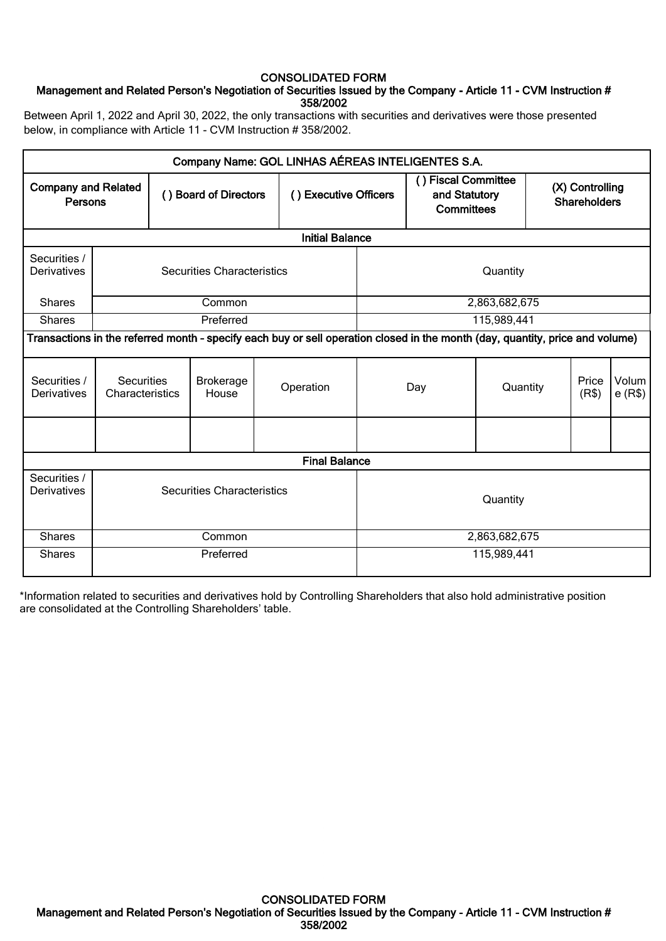## CONSOLIDATED FORM

## Management and Related Person's Negotiation of Securities Issued by the Company - Article 11 - CVM Instruction # 358/2002

Between April 1, 2022 and April 30, 2022, the only transactions with securities and derivatives were those presented below, in compliance with Article 11 - CVM Instruction # 358/2002.

|                                                                  |                                   |  |                           | Company Name: GOL LINHAS AÉREAS INTELIGENTES S.A.                                                                             |               |                                                           |               |                                        |                |                 |
|------------------------------------------------------------------|-----------------------------------|--|---------------------------|-------------------------------------------------------------------------------------------------------------------------------|---------------|-----------------------------------------------------------|---------------|----------------------------------------|----------------|-----------------|
| <b>Company and Related</b><br>Persons                            |                                   |  | () Board of Directors     | () Executive Officers                                                                                                         |               | () Fiscal Committee<br>and Statutory<br><b>Committees</b> |               | (X) Controlling<br><b>Shareholders</b> |                |                 |
|                                                                  |                                   |  |                           | <b>Initial Balance</b>                                                                                                        |               |                                                           |               |                                        |                |                 |
| Securities /<br><b>Securities Characteristics</b><br>Derivatives |                                   |  |                           |                                                                                                                               | Quantity      |                                                           |               |                                        |                |                 |
| <b>Shares</b>                                                    |                                   |  | Common                    |                                                                                                                               |               |                                                           | 2,863,682,675 |                                        |                |                 |
| <b>Shares</b>                                                    |                                   |  | Preferred                 |                                                                                                                               |               |                                                           | 115,989,441   |                                        |                |                 |
|                                                                  |                                   |  |                           | Transactions in the referred month - specify each buy or sell operation closed in the month (day, quantity, price and volume) |               |                                                           |               |                                        |                |                 |
| Securities /<br>Derivatives                                      | Securities<br>Characteristics     |  | <b>Brokerage</b><br>House | Operation                                                                                                                     |               | Day                                                       | Quantity      |                                        | Price<br>(R\$) | Volum<br>e(R\$) |
|                                                                  |                                   |  |                           |                                                                                                                               |               |                                                           |               |                                        |                |                 |
|                                                                  |                                   |  |                           | <b>Final Balance</b>                                                                                                          |               |                                                           |               |                                        |                |                 |
| Securities /<br>Derivatives                                      | <b>Securities Characteristics</b> |  |                           | Quantity                                                                                                                      |               |                                                           |               |                                        |                |                 |
| <b>Shares</b>                                                    | Common                            |  |                           |                                                                                                                               | 2,863,682,675 |                                                           |               |                                        |                |                 |
| <b>Shares</b>                                                    | Preferred                         |  |                           |                                                                                                                               | 115,989,441   |                                                           |               |                                        |                |                 |

\*Information related to securities and derivatives hold by Controlling Shareholders that also hold administrative position are consolidated at the Controlling Shareholders' table.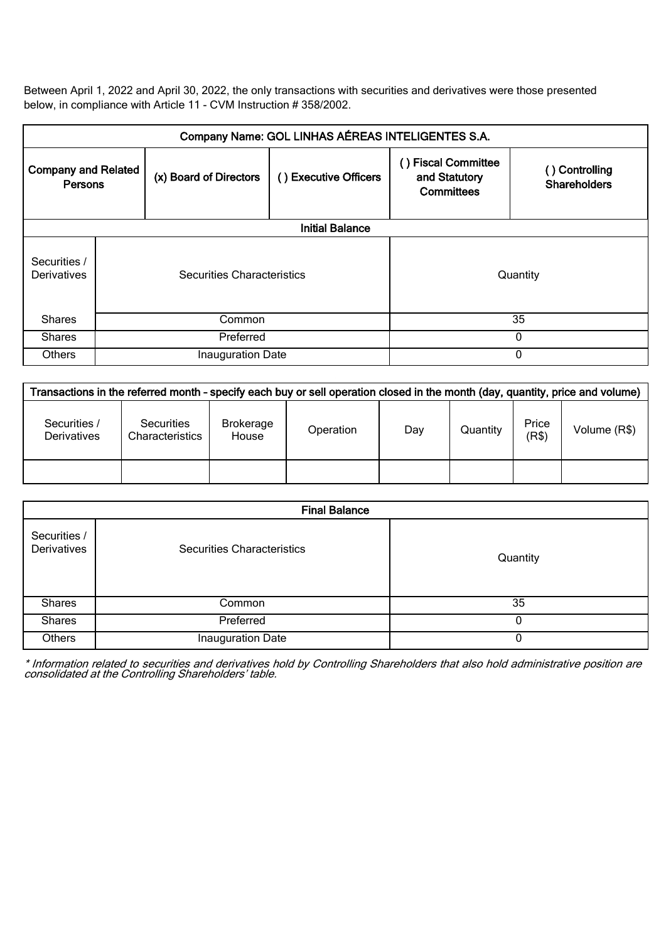Between April 1, 2022 and April 30, 2022, the only transactions with securities and derivatives were those presented below, in compliance with Article 11 - CVM Instruction # 358/2002.

| Company Name: GOL LINHAS AÉREAS INTELIGENTES S.A. |                            |                        |                       |                                                               |                                       |  |  |
|---------------------------------------------------|----------------------------|------------------------|-----------------------|---------------------------------------------------------------|---------------------------------------|--|--|
| <b>Company and Related</b><br>Persons             |                            | (x) Board of Directors | () Executive Officers | <b>Fiscal Committee</b><br>and Statutory<br><b>Committees</b> | () Controlling<br><b>Shareholders</b> |  |  |
|                                                   | <b>Initial Balance</b>     |                        |                       |                                                               |                                       |  |  |
| Securities /<br>Derivatives                       | Securities Characteristics |                        |                       |                                                               | Quantity                              |  |  |
| <b>Shares</b>                                     | Common                     |                        |                       | 35                                                            |                                       |  |  |
| <b>Shares</b>                                     | Preferred                  |                        |                       | $\Omega$                                                      |                                       |  |  |
| <b>Others</b>                                     | Inauguration Date          |                        |                       |                                                               | $\Omega$                              |  |  |

| Transactions in the referred month - specify each buy or sell operation closed in the month (day, quantity, price and volume) |                               |                    |           |     |          |                |              |
|-------------------------------------------------------------------------------------------------------------------------------|-------------------------------|--------------------|-----------|-----|----------|----------------|--------------|
| Securities /<br><b>Derivatives</b>                                                                                            | Securities<br>Characteristics | Brokerage<br>House | Operation | Day | Quantity | Price<br>(R\$) | Volume (R\$) |
|                                                                                                                               |                               |                    |           |     |          |                |              |

| <b>Final Balance</b>        |                            |          |  |  |  |
|-----------------------------|----------------------------|----------|--|--|--|
| Securities /<br>Derivatives | Securities Characteristics | Quantity |  |  |  |
| <b>Shares</b>               | Common                     | 35       |  |  |  |
| <b>Shares</b>               | Preferred                  | 0        |  |  |  |
| Others                      | Inauguration Date          | 0        |  |  |  |

\* Information related to securities and derivatives hold by Controlling Shareholders that also hold administrative position are consolidated at the Controlling Shareholders' table.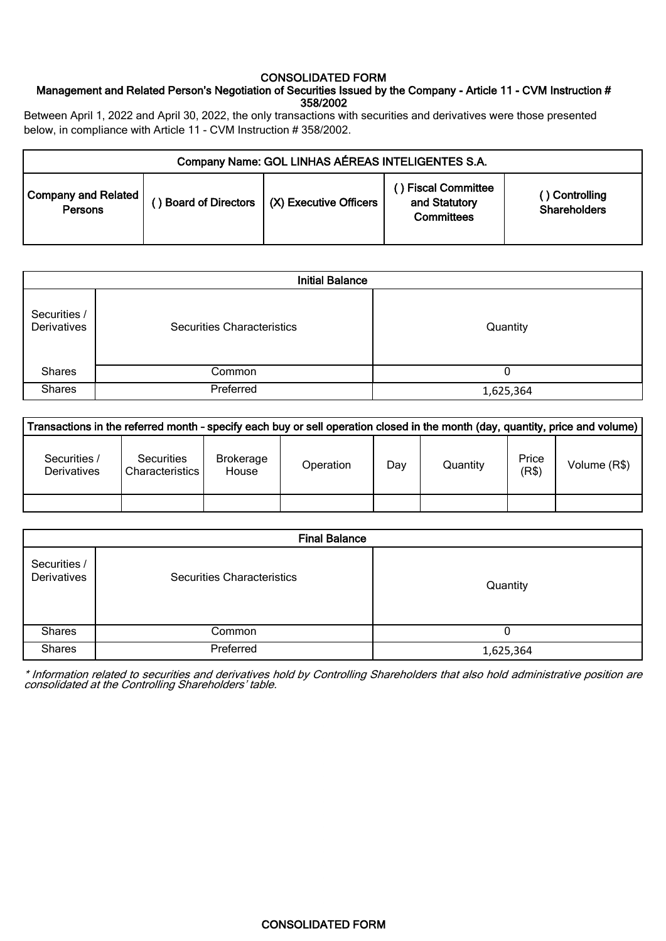### CONSOLIDATED FORM

## Management and Related Person's Negotiation of Securities Issued by the Company - Article 11 - CVM Instruction # 358/2002

Between April 1, 2022 and April 30, 2022, the only transactions with securities and derivatives were those presented below, in compliance with Article 11 - CVM Instruction # 358/2002.

| Company Name: GOL LINHAS AÉREAS INTELIGENTES S.A. |  |                                               |                                                          |                                       |  |  |
|---------------------------------------------------|--|-----------------------------------------------|----------------------------------------------------------|---------------------------------------|--|--|
| <b>Company and Related</b><br>Persons             |  | ) Board of Directors   (X) Executive Officers | ) Fiscal Committee<br>and Statutory<br><b>Committees</b> | () Controlling<br><b>Shareholders</b> |  |  |

| <b>Initial Balance</b>      |                                   |           |  |  |  |  |
|-----------------------------|-----------------------------------|-----------|--|--|--|--|
| Securities /<br>Derivatives | <b>Securities Characteristics</b> | Quantity  |  |  |  |  |
| <b>Shares</b>               | Common                            |           |  |  |  |  |
| <b>Shares</b>               | Preferred                         | 1,625,364 |  |  |  |  |

| Transactions in the referred month - specify each buy or sell operation closed in the month (day, quantity, price and volume) |                                             |                           |           |     |          |                |              |
|-------------------------------------------------------------------------------------------------------------------------------|---------------------------------------------|---------------------------|-----------|-----|----------|----------------|--------------|
| Securities /<br><b>Derivatives</b>                                                                                            | <b>Securities</b><br><b>Characteristics</b> | <b>Brokerage</b><br>House | Operation | Day | Quantity | Price<br>(R\$) | Volume (R\$) |
|                                                                                                                               |                                             |                           |           |     |          |                |              |

|                             | <b>Final Balance</b>              |           |  |  |  |  |
|-----------------------------|-----------------------------------|-----------|--|--|--|--|
| Securities /<br>Derivatives | <b>Securities Characteristics</b> | Quantity  |  |  |  |  |
| <b>Shares</b>               | Common                            |           |  |  |  |  |
| <b>Shares</b>               | Preferred                         | 1,625,364 |  |  |  |  |

\* Information related to securities and derivatives hold by Controlling Shareholders that also hold administrative position are consolidated at the Controlling Shareholders' table.